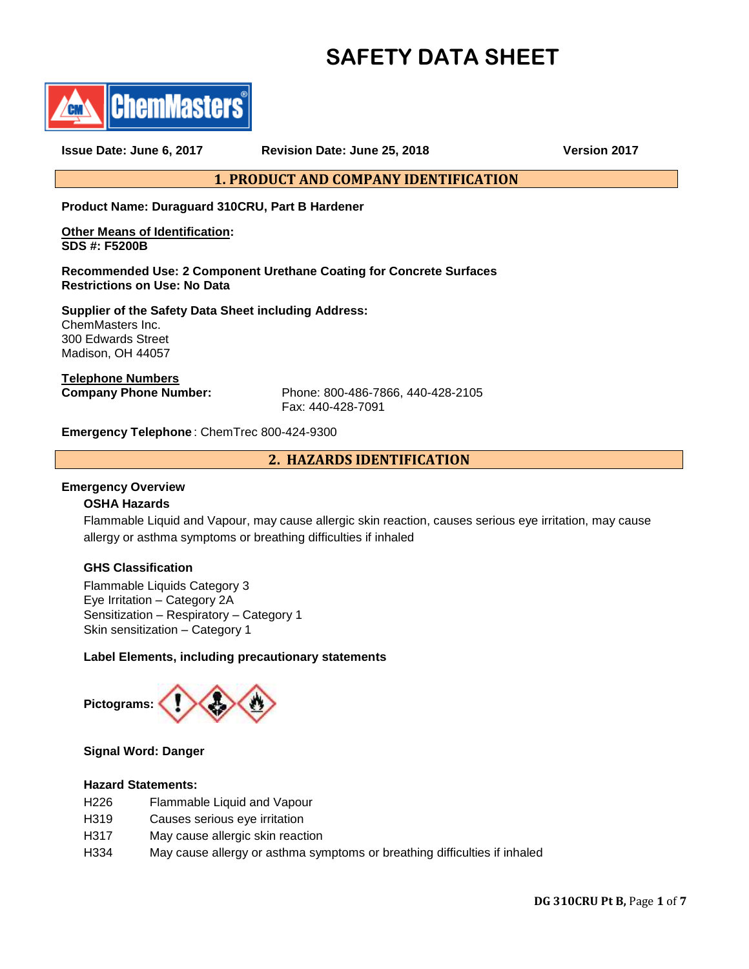# **SAFETY DATA SHEET**



**Issue Date: June 6, 2017 Revision Date: June 25, 2018 Version 2017**

**1. PRODUCT AND COMPANY IDENTIFICATION**

**Product Name: Duraguard 310CRU, Part B Hardener**

**Other Means of Identification: SDS #: F5200B**

**Recommended Use: 2 Component Urethane Coating for Concrete Surfaces Restrictions on Use: No Data**

**Supplier of the Safety Data Sheet including Address:** ChemMasters Inc. 300 Edwards Street Madison, OH 44057

**Telephone Numbers**

**Company Phone Number:** Phone: 800-486-7866, 440-428-2105 Fax: 440-428-7091

**Emergency Telephone** : ChemTrec 800-424-9300

**2. HAZARDS IDENTIFICATION**

## **Emergency Overview**

## **OSHA Hazards**

Flammable Liquid and Vapour, may cause allergic skin reaction, causes serious eye irritation, may cause allergy or asthma symptoms or breathing difficulties if inhaled

## **GHS Classification**

Flammable Liquids Category 3 Eye Irritation – Category 2A Sensitization – Respiratory – Category 1 Skin sensitization – Category 1

## **Label Elements, including precautionary statements**



## **Signal Word: Danger**

## **Hazard Statements:**

- H226 Flammable Liquid and Vapour
- H319 Causes serious eye irritation
- H317 May cause allergic skin reaction
- H334 May cause allergy or asthma symptoms or breathing difficulties if inhaled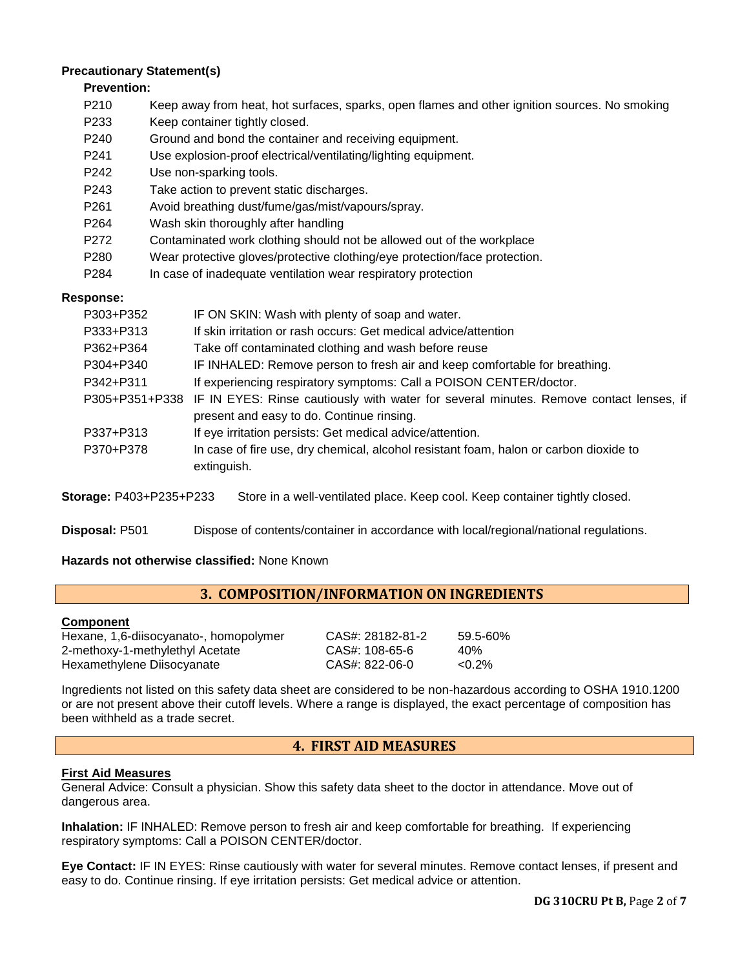## **Precautionary Statement(s)**

## **Prevention:**

- P210 Keep away from heat, hot surfaces, sparks, open flames and other ignition sources. No smoking
- P233 Keep container tightly closed.
- P240 Ground and bond the container and receiving equipment.
- P241 Use explosion-proof electrical/ventilating/lighting equipment.
- P242 Use non-sparking tools.
- P243 Take action to prevent static discharges.
- P261 Avoid breathing dust/fume/gas/mist/vapours/spray.
- P264 Wash skin thoroughly after handling
- P272 Contaminated work clothing should not be allowed out of the workplace
- P280 Wear protective gloves/protective clothing/eye protection/face protection.
- P284 In case of inadequate ventilation wear respiratory protection

## **Response:**

| P303+P352 | IF ON SKIN: Wash with plenty of soap and water.                                                       |
|-----------|-------------------------------------------------------------------------------------------------------|
| P333+P313 | If skin irritation or rash occurs: Get medical advice/attention                                       |
| P362+P364 | Take off contaminated clothing and wash before reuse                                                  |
| P304+P340 | IF INHALED: Remove person to fresh air and keep comfortable for breathing.                            |
| P342+P311 | If experiencing respiratory symptoms: Call a POISON CENTER/doctor.                                    |
|           | P305+P351+P338 IF IN EYES: Rinse cautiously with water for several minutes. Remove contact lenses, if |
|           | present and easy to do. Continue rinsing.                                                             |
| P337+P313 | If eye irritation persists: Get medical advice/attention.                                             |
| P370+P378 | In case of fire use, dry chemical, alcohol resistant foam, halon or carbon dioxide to                 |
|           | extinguish.                                                                                           |

**Storage:** P403+P235+P233 Store in a well-ventilated place. Keep cool. Keep container tightly closed.

**Disposal:** P501 Dispose of contents/container in accordance with local/regional/national regulations.

**Hazards not otherwise classified:** None Known

## **3. COMPOSITION/INFORMATION ON INGREDIENTS**

## **Component**

Hexane, 1,6-diisocyanato-, homopolymer CAS#: 28182-81-2 59.5-60% 2-methoxy-1-methylethyl Acetate CAS#: 108-65-6 40% Hexamethylene Diisocyanate CAS#: 822-06-0 <0.2%

Ingredients not listed on this safety data sheet are considered to be non-hazardous according to OSHA 1910.1200 or are not present above their cutoff levels. Where a range is displayed, the exact percentage of composition has been withheld as a trade secret.

## **4. FIRST AID MEASURES**

## **First Aid Measures**

General Advice: Consult a physician. Show this safety data sheet to the doctor in attendance. Move out of dangerous area.

**Inhalation:** IF INHALED: Remove person to fresh air and keep comfortable for breathing. If experiencing respiratory symptoms: Call a POISON CENTER/doctor.

**Eye Contact:** IF IN EYES: Rinse cautiously with water for several minutes. Remove contact lenses, if present and easy to do. Continue rinsing. If eye irritation persists: Get medical advice or attention.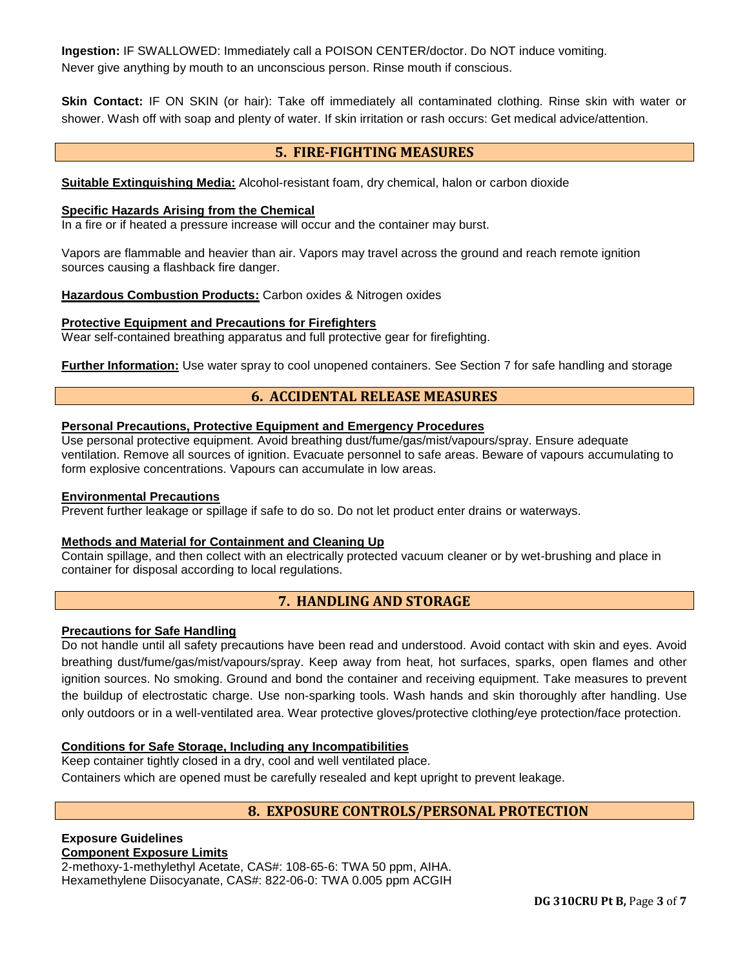**Ingestion:** IF SWALLOWED: Immediately call a POISON CENTER/doctor. Do NOT induce vomiting. Never give anything by mouth to an unconscious person. Rinse mouth if conscious.

**Skin Contact:** IF ON SKIN (or hair): Take off immediately all contaminated clothing. Rinse skin with water or shower. Wash off with soap and plenty of water. If skin irritation or rash occurs: Get medical advice/attention.

## **5. FIRE-FIGHTING MEASURES**

**Suitable Extinguishing Media:** Alcohol-resistant foam, dry chemical, halon or carbon dioxide

#### **Specific Hazards Arising from the Chemical**

In a fire or if heated a pressure increase will occur and the container may burst.

Vapors are flammable and heavier than air. Vapors may travel across the ground and reach remote ignition sources causing a flashback fire danger.

**Hazardous Combustion Products:** Carbon oxides & Nitrogen oxides

#### **Protective Equipment and Precautions for Firefighters**

Wear self-contained breathing apparatus and full protective gear for firefighting.

**Further Information:** Use water spray to cool unopened containers. See Section 7 for safe handling and storage

## **6. ACCIDENTAL RELEASE MEASURES**

#### **Personal Precautions, Protective Equipment and Emergency Procedures**

Use personal protective equipment. Avoid breathing dust/fume/gas/mist/vapours/spray. Ensure adequate ventilation. Remove all sources of ignition. Evacuate personnel to safe areas. Beware of vapours accumulating to form explosive concentrations. Vapours can accumulate in low areas.

## **Environmental Precautions**

Prevent further leakage or spillage if safe to do so. Do not let product enter drains or waterways.

## **Methods and Material for Containment and Cleaning Up**

Contain spillage, and then collect with an electrically protected vacuum cleaner or by wet-brushing and place in container for disposal according to local regulations.

## **7. HANDLING AND STORAGE**

## **Precautions for Safe Handling**

Do not handle until all safety precautions have been read and understood. Avoid contact with skin and eyes. Avoid breathing dust/fume/gas/mist/vapours/spray. Keep away from heat, hot surfaces, sparks, open flames and other ignition sources. No smoking. Ground and bond the container and receiving equipment. Take measures to prevent the buildup of electrostatic charge. Use non-sparking tools. Wash hands and skin thoroughly after handling. Use only outdoors or in a well-ventilated area. Wear protective gloves/protective clothing/eye protection/face protection.

## **Conditions for Safe Storage, Including any Incompatibilities**

Keep container tightly closed in a dry, cool and well ventilated place. Containers which are opened must be carefully resealed and kept upright to prevent leakage.

## **8. EXPOSURE CONTROLS/PERSONAL PROTECTION**

#### **Exposure Guidelines Component Exposure Limits**

2-methoxy-1-methylethyl Acetate, CAS#: 108-65-6: TWA 50 ppm, AIHA. Hexamethylene Diisocyanate, CAS#: 822-06-0: TWA 0.005 ppm ACGIH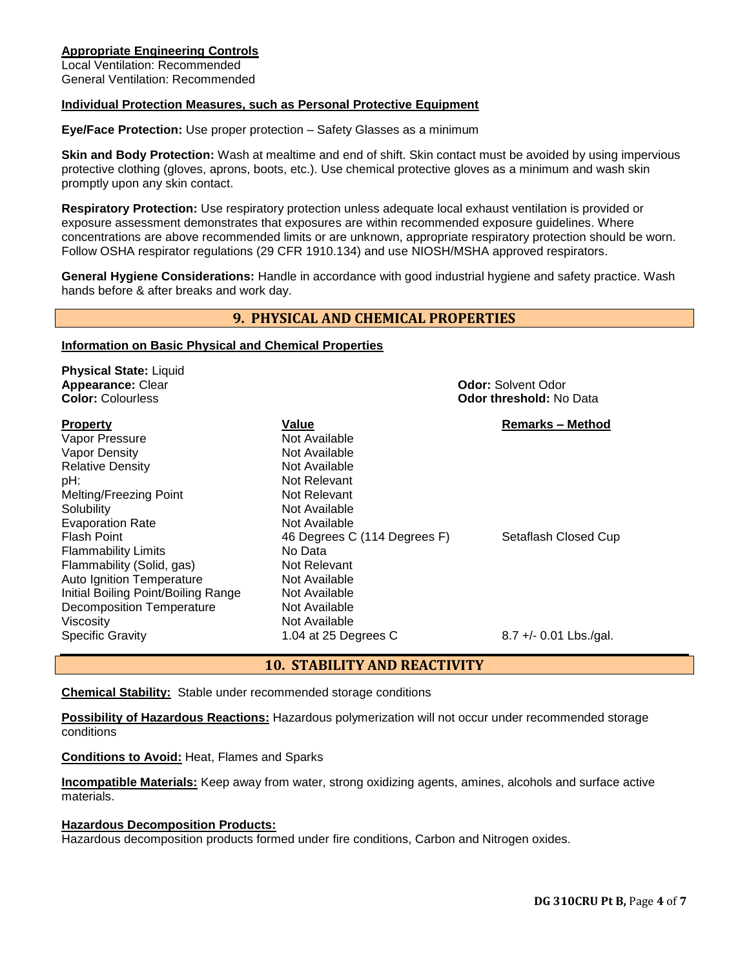## **Appropriate Engineering Controls**

Local Ventilation: Recommended General Ventilation: Recommended

## **Individual Protection Measures, such as Personal Protective Equipment**

**Eye/Face Protection:** Use proper protection – Safety Glasses as a minimum

**Skin and Body Protection:** Wash at mealtime and end of shift. Skin contact must be avoided by using impervious protective clothing (gloves, aprons, boots, etc.). Use chemical protective gloves as a minimum and wash skin promptly upon any skin contact.

**Respiratory Protection:** Use respiratory protection unless adequate local exhaust ventilation is provided or exposure assessment demonstrates that exposures are within recommended exposure guidelines. Where concentrations are above recommended limits or are unknown, appropriate respiratory protection should be worn. Follow OSHA respirator regulations (29 CFR 1910.134) and use NIOSH/MSHA approved respirators.

**General Hygiene Considerations:** Handle in accordance with good industrial hygiene and safety practice. Wash hands before & after breaks and work day.

## **9. PHYSICAL AND CHEMICAL PROPERTIES**

#### **Information on Basic Physical and Chemical Properties**

| <b>Physical State: Liquid</b><br><b>Appearance: Clear</b><br><b>Color: Colourless</b>                                                                                        | <b>Odor: Solvent Odor</b><br><b>Odor threshold: No Data</b>                                                |                          |
|------------------------------------------------------------------------------------------------------------------------------------------------------------------------------|------------------------------------------------------------------------------------------------------------|--------------------------|
| <b>Property</b><br>Vapor Pressure<br>Vapor Density<br><b>Relative Density</b><br>pH:<br>Melting/Freezing Point<br>Solubility                                                 | Value<br>Not Available<br>Not Available<br>Not Available<br>Not Relevant<br>Not Relevant<br>Not Available  | <b>Remarks - Method</b>  |
| <b>Evaporation Rate</b><br>Flash Point<br><b>Flammability Limits</b><br>Flammability (Solid, gas)<br><b>Auto Ignition Temperature</b><br>Initial Boiling Point/Boiling Range | Not Available<br>46 Degrees C (114 Degrees F)<br>No Data<br>Not Relevant<br>Not Available<br>Not Available | Setaflash Closed Cup     |
| <b>Decomposition Temperature</b><br>Viscosity<br><b>Specific Gravity</b>                                                                                                     | Not Available<br>Not Available<br>1.04 at 25 Degrees C                                                     | $8.7 +/- 0.01$ Lbs./gal. |

## **10. STABILITY AND REACTIVITY**

**Chemical Stability:** Stable under recommended storage conditions

**Possibility of Hazardous Reactions:** Hazardous polymerization will not occur under recommended storage conditions

**Conditions to Avoid:** Heat, Flames and Sparks

**Incompatible Materials:** Keep away from water, strong oxidizing agents, amines, alcohols and surface active materials.

## **Hazardous Decomposition Products:**

Hazardous decomposition products formed under fire conditions, Carbon and Nitrogen oxides.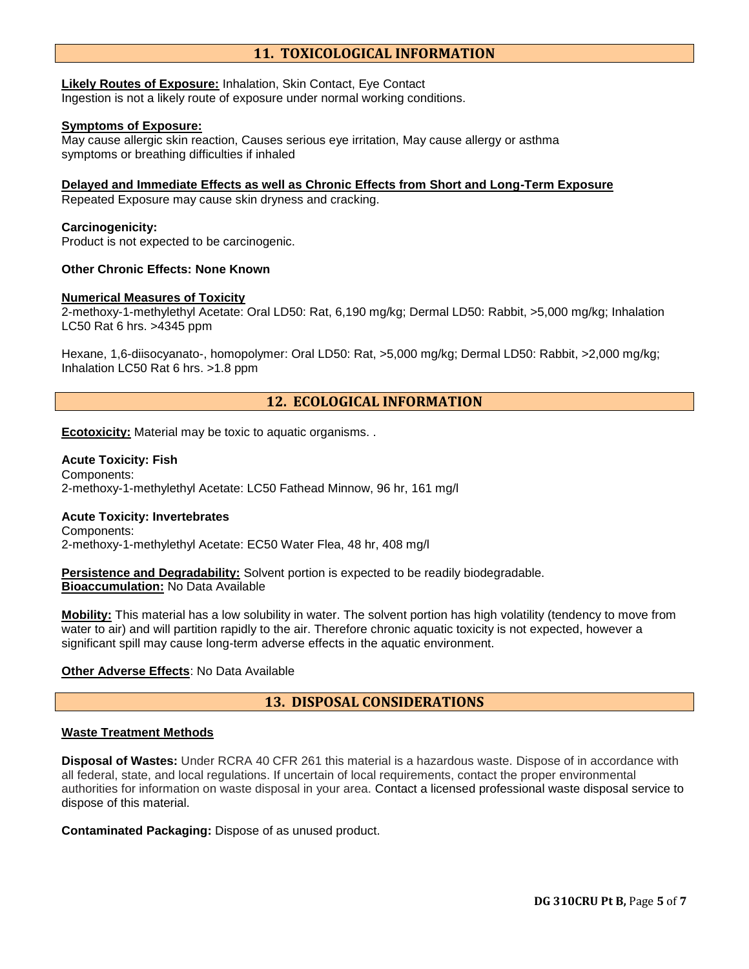# **11. TOXICOLOGICAL INFORMATION**

**Likely Routes of Exposure:** Inhalation, Skin Contact, Eye Contact Ingestion is not a likely route of exposure under normal working conditions.

#### **Symptoms of Exposure:**

May cause allergic skin reaction, Causes serious eye irritation, May cause allergy or asthma symptoms or breathing difficulties if inhaled

## **Delayed and Immediate Effects as well as Chronic Effects from Short and Long-Term Exposure**

Repeated Exposure may cause skin dryness and cracking.

#### **Carcinogenicity:**

Product is not expected to be carcinogenic.

## **Other Chronic Effects: None Known**

## **Numerical Measures of Toxicity**

2-methoxy-1-methylethyl Acetate: Oral LD50: Rat, 6,190 mg/kg; Dermal LD50: Rabbit, >5,000 mg/kg; Inhalation LC50 Rat 6 hrs. >4345 ppm

Hexane, 1,6-diisocyanato-, homopolymer: Oral LD50: Rat, >5,000 mg/kg; Dermal LD50: Rabbit, >2,000 mg/kg; Inhalation LC50 Rat 6 hrs. >1.8 ppm

## **12. ECOLOGICAL INFORMATION**

**Ecotoxicity:** Material may be toxic to aquatic organisms. .

## **Acute Toxicity: Fish** Components: 2-methoxy-1-methylethyl Acetate: LC50 Fathead Minnow, 96 hr, 161 mg/l

## **Acute Toxicity: Invertebrates**

Components: 2-methoxy-1-methylethyl Acetate: EC50 Water Flea, 48 hr, 408 mg/l

**Persistence and Degradability:** Solvent portion is expected to be readily biodegradable. **Bioaccumulation:** No Data Available

**Mobility:** This material has a low solubility in water. The solvent portion has high volatility (tendency to move from water to air) and will partition rapidly to the air. Therefore chronic aquatic toxicity is not expected, however a significant spill may cause long-term adverse effects in the aquatic environment.

## **Other Adverse Effects**: No Data Available

## **13. DISPOSAL CONSIDERATIONS**

## **Waste Treatment Methods**

**Disposal of Wastes:** Under RCRA 40 CFR 261 this material is a hazardous waste. Dispose of in accordance with all federal, state, and local regulations. If uncertain of local requirements, contact the proper environmental authorities for information on waste disposal in your area. Contact a licensed professional waste disposal service to dispose of this material.

**Contaminated Packaging:** Dispose of as unused product.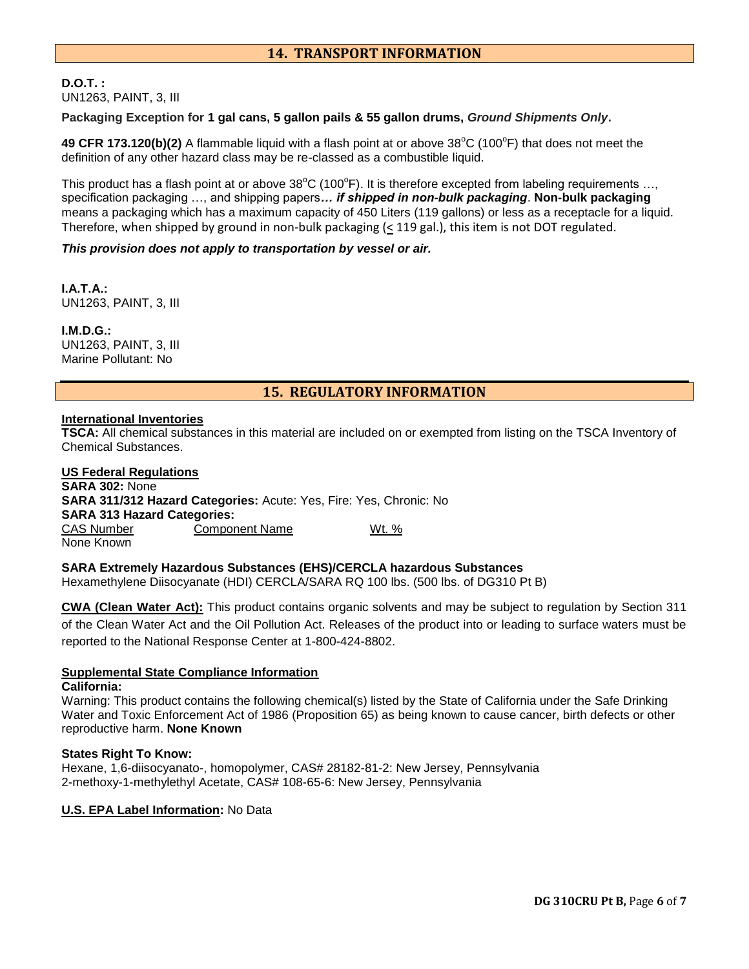# **14. TRANSPORT INFORMATION**

## **D.O.T. :** UN1263, PAINT, 3, III

**Packaging Exception for 1 gal cans, 5 gallon pails & 55 gallon drums,** *Ground Shipments Only***.**

49 CFR 173.120(b)(2) A flammable liquid with a flash point at or above 38°C (100°F) that does not meet the definition of any other hazard class may be re-classed as a combustible liquid.

This product has a flash point at or above  $38^{\circ}$ C (100 $^{\circ}$ F). It is therefore excepted from labeling requirements ..., specification packaging …, and shipping papers*… if shipped in non-bulk packaging*. **Non-bulk packaging** means a packaging which has a maximum capacity of 450 Liters (119 gallons) or less as a receptacle for a liquid. Therefore, when shipped by ground in non-bulk packaging  $( \leq 119 \text{ gal.})$ , this item is not DOT regulated.

## *This provision does not apply to transportation by vessel or air.*

**I.A.T.A.:** UN1263, PAINT, 3, III

**I.M.D.G.:** UN1263, PAINT, 3, III Marine Pollutant: No

## **15. REGULATORY INFORMATION**

#### **International Inventories**

**TSCA:** All chemical substances in this material are included on or exempted from listing on the TSCA Inventory of Chemical Substances.

| <b>US Federal Regulations</b>      |                                                                    |       |
|------------------------------------|--------------------------------------------------------------------|-------|
| <b>SARA 302: None</b>              |                                                                    |       |
|                                    | SARA 311/312 Hazard Categories: Acute: Yes, Fire: Yes, Chronic: No |       |
| <b>SARA 313 Hazard Categories:</b> |                                                                    |       |
| CAS Number                         | <b>Component Name</b>                                              | Wt. % |
| None Known                         |                                                                    |       |

**SARA Extremely Hazardous Substances (EHS)/CERCLA hazardous Substances**

Hexamethylene Diisocyanate (HDI) CERCLA/SARA RQ 100 lbs. (500 lbs. of DG310 Pt B)

**CWA (Clean Water Act):** This product contains organic solvents and may be subject to regulation by Section 311 of the Clean Water Act and the Oil Pollution Act. Releases of the product into or leading to surface waters must be reported to the National Response Center at 1-800-424-8802.

## **Supplemental State Compliance Information**

#### **California:**

Warning: This product contains the following chemical(s) listed by the State of California under the Safe Drinking Water and Toxic Enforcement Act of 1986 (Proposition 65) as being known to cause cancer, birth defects or other reproductive harm. **None Known**

## **States Right To Know:**

Hexane, 1,6-diisocyanato-, homopolymer, CAS# 28182-81-2: New Jersey, Pennsylvania 2-methoxy-1-methylethyl Acetate, CAS# 108-65-6: New Jersey, Pennsylvania

## **U.S. EPA Label Information:** No Data